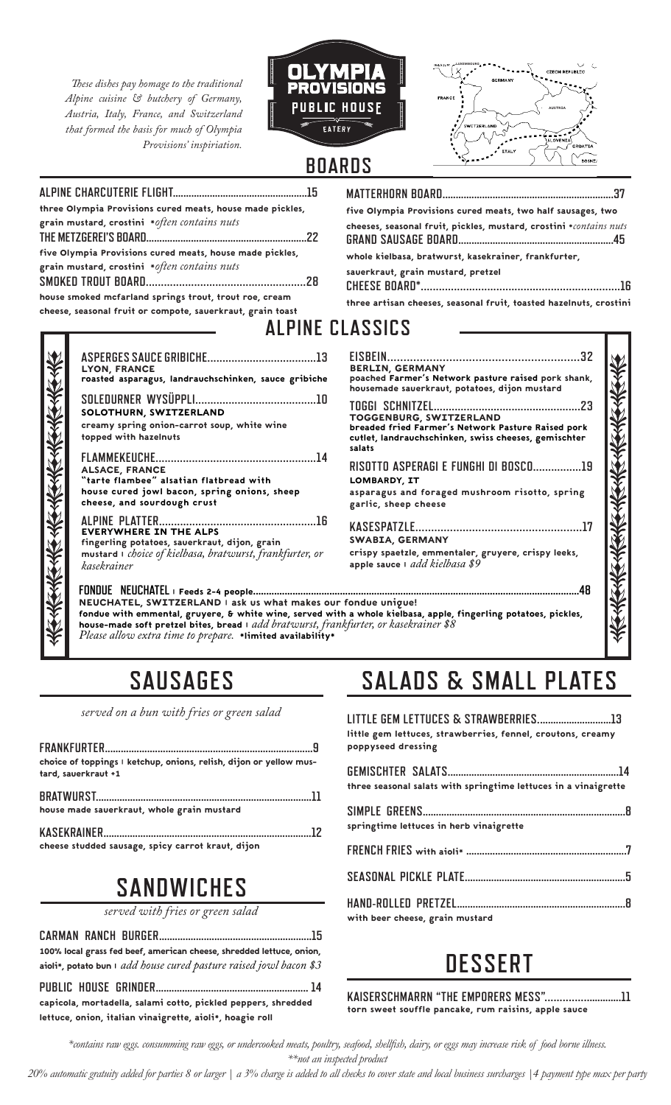*These dishes pay homage to the traditional Alpine cuisine & butchery of Germany, Austria, Italy, France, and Switzerland that formed the basis for much of Olympia Provisions' inspiriation.* 





| three Olympia Provisions cured meats, house made pickles,  |  |
|------------------------------------------------------------|--|
| grain mustard, crostini *often contains nuts               |  |
|                                                            |  |
| five Olympia Provisions cured meats, house made pickles,   |  |
| grain mustard, crostini *often contains nuts               |  |
|                                                            |  |
| house smoked mcfarland springs trout, trout roe, cream     |  |
| cheese, seasonal fruit or compote, sauerkraut, grain toast |  |
|                                                            |  |

| five Olympia Provisions cured meats, two half sausages, two        |
|--------------------------------------------------------------------|
| cheeses, seasonal fruit, pickles, mustard, crostini *contains nuts |
| whole kielbasa, bratwurst, kasekrainer, frankfurter,               |
| sauerkraut, grain mustard, pretzel                                 |
| three artisan cheeses, seasonal fruit, toasted hazelnuts, crostini |

## **ALPINE CLASSICS**

| <b>LYON, FRANCE</b><br>roasted asparagus, landrauchschinken, sauce gribiche                                                                                                               |
|-------------------------------------------------------------------------------------------------------------------------------------------------------------------------------------------|
| SOLOTHURN, SWITZERLAND<br>creamy spring onion-carrot soup, white wine<br>topped with hazelnuts                                                                                            |
| <b>ALSACE, FRANCE</b><br>"tarte flambee" alsatian flatbread with<br>house cured jowl bacon, spring onions, sheep<br>cheese, and sourdough crust                                           |
| <b>ALPINE PLATTER</b><br>.16<br><b>EVERYWHERE IN THE ALPS</b><br>fingerling potatoes, sauerkraut, dijon, grain<br>mustard I choice of kielbasa, bratwurst, frankfurter, or<br>kasekrainer |
| FONDUE NEUCHATEL   Feeds 2-4 people                                                                                                                                                       |

| <b>BERLIN, GERMANY</b><br>poached Farmer's Network pasture raised pork shank,<br>housemade sauerkraut, potatoes, dijon mustard<br>TOGGENBURG, SWITZERLAND<br>breaded fried Farmer's Network Pasture Raised pork<br>cutlet, landrauchschinken, swiss cheeses, gemischter<br>salats<br>RISOTTO ASPERAGI E FUNGHI DI BOSCO19<br>LOMBARDY, IT<br>asparagus and foraged mushroom risotto, spring<br>garlic, sheep cheese<br><b>SWABIA, GERMANY</b><br>crispy spaetzle, emmentaler, gruyere, crispy leeks,<br>apple sauce I add kielbasa \$9<br>.4R<br>fondue unique!<br>h a whole kielbasa, apple, fingerling potatoes, pickles,<br>ikfurter, or kasekrainer \$8 |  |
|-------------------------------------------------------------------------------------------------------------------------------------------------------------------------------------------------------------------------------------------------------------------------------------------------------------------------------------------------------------------------------------------------------------------------------------------------------------------------------------------------------------------------------------------------------------------------------------------------------------------------------------------------------------|--|
|                                                                                                                                                                                                                                                                                                                                                                                                                                                                                                                                                                                                                                                             |  |
|                                                                                                                                                                                                                                                                                                                                                                                                                                                                                                                                                                                                                                                             |  |
|                                                                                                                                                                                                                                                                                                                                                                                                                                                                                                                                                                                                                                                             |  |
|                                                                                                                                                                                                                                                                                                                                                                                                                                                                                                                                                                                                                                                             |  |
|                                                                                                                                                                                                                                                                                                                                                                                                                                                                                                                                                                                                                                                             |  |

NEUCHATEL, SWITZERLAND | ask us what makes our fondue with emmental, gruyere, & white wine, served with a whole kielbasa, apple, fingerling potatoes, pickles, house-made soft pretzel bites, bread | *add bratwurst, frankfurter, or kasekrainer \$8 Please allow extra time to prepare.* \*limited availability\*

## **SAUSAGES**

*served on a bun with fries or green salad* 

| choice of toppings I ketchup, onions, relish, dijon or yellow mus-<br>tard, sauerkraut +1 |  |
|-------------------------------------------------------------------------------------------|--|
| house made sauerkraut, whole grain mustard                                                |  |
| cheese studded sausage, spicy carrot kraut, dijon                                         |  |

## **SANDWICHES**

*served with fries or green salad*

**CARMAN RANCH BURGER..........................................................15**  100% local grass fed beef, american cheese, shredded lettuce, onion, aioli\*, potato bun | *add house cured pasture raised jowl bacon \$3*

**PUBLIC HOUSE GRINDER.......................................................... 14** capicola, mortadella, salami cotto, pickled peppers, shredded lettuce, onion, italian vinaigrette, aioli\*, hoagie roll

## **SALADS & SMALL PLATES**

| little gem lettuces, strawberries, fennel, croutons, creamy<br>poppyseed dressing |  |
|-----------------------------------------------------------------------------------|--|
| three seasonal salats with springtime lettuces in a vinaigrette                   |  |
| springtime lettuces in herb vinaigrette                                           |  |
|                                                                                   |  |
|                                                                                   |  |
|                                                                                   |  |

| with beer cheese, grain mustard |  |
|---------------------------------|--|

# **DESSERT**

**KAISERSCHMARRN "THE EMPORERS MESS"...........................11**  torn sweet souffle pancake, rum raisins, apple sauce

*\*contains raw eggs. consumming raw eggs, or undercooked meats, poultry, seafood, shellfish, dairy, or eggs may increase risk of food borne illness.* 

*\*\*not an inspected product*

*20% automatic gratuity added for parties 8 or larger | a 3% charge is added to all checks to cover state and local business surcharges |4 payment type max per party*